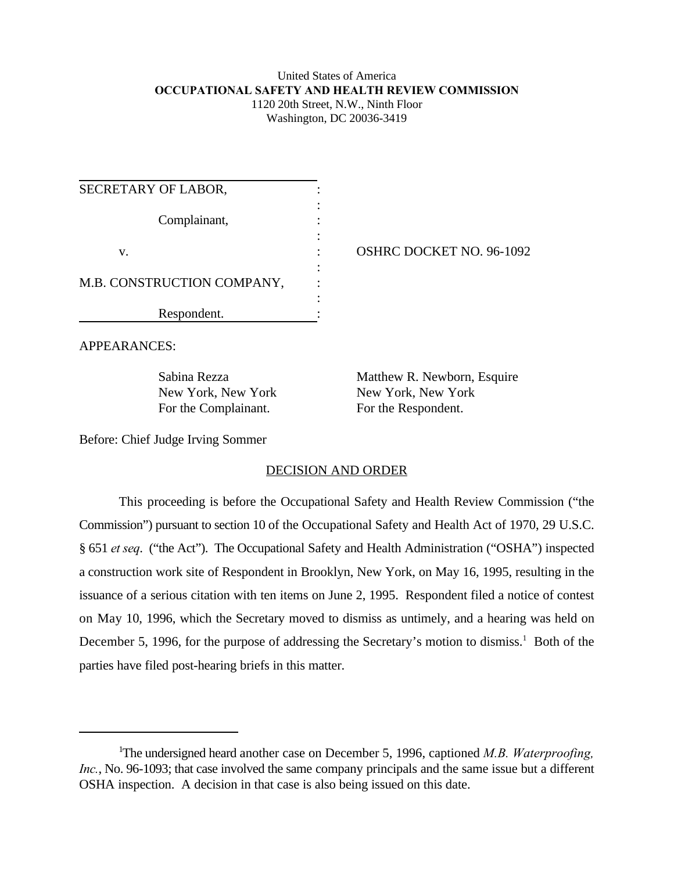### United States of America **OCCUPATIONAL SAFETY AND HEALTH REVIEW COMMISSION** 1120 20th Street, N.W., Ninth Floor Washington, DC 20036-3419

| SECRETARY OF LABOR,        |  |
|----------------------------|--|
| Complainant,               |  |
| V.                         |  |
| M.B. CONSTRUCTION COMPANY, |  |
| Respondent.                |  |

OSHRC DOCKET NO. 96-1092

APPEARANCES:

For the Complainant. For the Respondent.

Sabina Rezza Matthew R. Newborn, Esquire New York, New York New York, New York

Before: Chief Judge Irving Sommer

## DECISION AND ORDER

This proceeding is before the Occupational Safety and Health Review Commission ("the Commission") pursuant to section 10 of the Occupational Safety and Health Act of 1970, 29 U.S.C. § 651 *et seq*. ("the Act"). The Occupational Safety and Health Administration ("OSHA") inspected a construction work site of Respondent in Brooklyn, New York, on May 16, 1995, resulting in the issuance of a serious citation with ten items on June 2, 1995. Respondent filed a notice of contest on May 10, 1996, which the Secretary moved to dismiss as untimely, and a hearing was held on December 5, 1996, for the purpose of addressing the Secretary's motion to dismiss.<sup>1</sup> Both of the parties have filed post-hearing briefs in this matter.

The undersigned heard another case on December 5, 1996, captioned *M.B. Waterproofing,* <sup>1</sup> *Inc.*, No. 96-1093; that case involved the same company principals and the same issue but a different OSHA inspection. A decision in that case is also being issued on this date.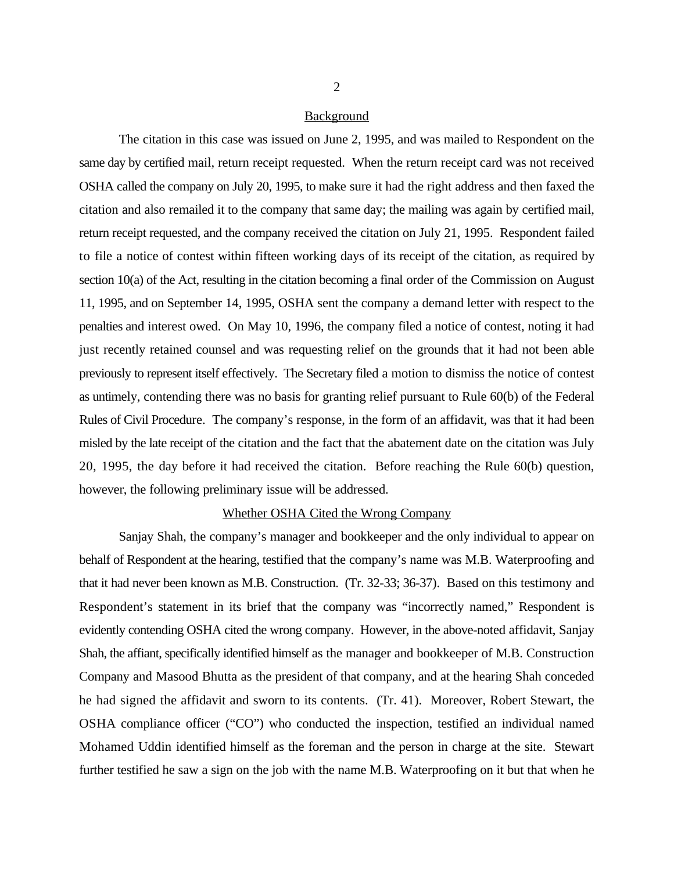#### Background

The citation in this case was issued on June 2, 1995, and was mailed to Respondent on the same day by certified mail, return receipt requested. When the return receipt card was not received OSHA called the company on July 20, 1995, to make sure it had the right address and then faxed the citation and also remailed it to the company that same day; the mailing was again by certified mail, return receipt requested, and the company received the citation on July 21, 1995. Respondent failed to file a notice of contest within fifteen working days of its receipt of the citation, as required by section 10(a) of the Act, resulting in the citation becoming a final order of the Commission on August 11, 1995, and on September 14, 1995, OSHA sent the company a demand letter with respect to the penalties and interest owed. On May 10, 1996, the company filed a notice of contest, noting it had just recently retained counsel and was requesting relief on the grounds that it had not been able previously to represent itself effectively. The Secretary filed a motion to dismiss the notice of contest as untimely, contending there was no basis for granting relief pursuant to Rule 60(b) of the Federal Rules of Civil Procedure. The company's response, in the form of an affidavit, was that it had been misled by the late receipt of the citation and the fact that the abatement date on the citation was July 20, 1995, the day before it had received the citation. Before reaching the Rule 60(b) question, however, the following preliminary issue will be addressed.

#### Whether OSHA Cited the Wrong Company

Sanjay Shah, the company's manager and bookkeeper and the only individual to appear on behalf of Respondent at the hearing, testified that the company's name was M.B. Waterproofing and that it had never been known as M.B. Construction. (Tr. 32-33; 36-37). Based on this testimony and Respondent's statement in its brief that the company was "incorrectly named," Respondent is evidently contending OSHA cited the wrong company. However, in the above-noted affidavit, Sanjay Shah, the affiant, specifically identified himself as the manager and bookkeeper of M.B. Construction Company and Masood Bhutta as the president of that company, and at the hearing Shah conceded he had signed the affidavit and sworn to its contents. (Tr. 41). Moreover, Robert Stewart, the OSHA compliance officer ("CO") who conducted the inspection, testified an individual named Mohamed Uddin identified himself as the foreman and the person in charge at the site. Stewart further testified he saw a sign on the job with the name M.B. Waterproofing on it but that when he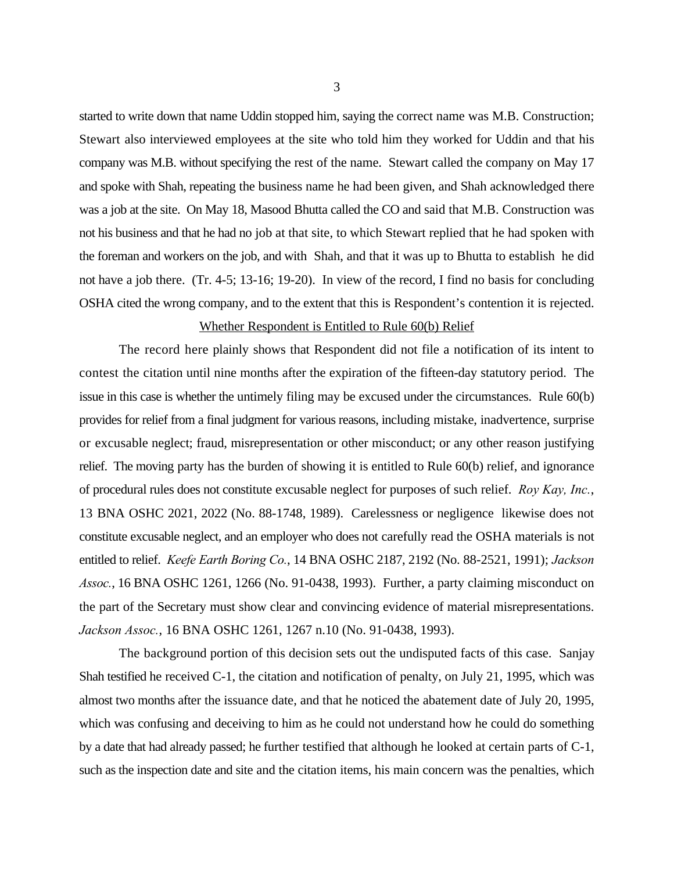started to write down that name Uddin stopped him, saying the correct name was M.B. Construction; Stewart also interviewed employees at the site who told him they worked for Uddin and that his company was M.B. without specifying the rest of the name. Stewart called the company on May 17 and spoke with Shah, repeating the business name he had been given, and Shah acknowledged there was a job at the site. On May 18, Masood Bhutta called the CO and said that M.B. Construction was not his business and that he had no job at that site, to which Stewart replied that he had spoken with the foreman and workers on the job, and with Shah, and that it was up to Bhutta to establish he did not have a job there. (Tr. 4-5; 13-16; 19-20). In view of the record, I find no basis for concluding OSHA cited the wrong company, and to the extent that this is Respondent's contention it is rejected.

## Whether Respondent is Entitled to Rule 60(b) Relief

The record here plainly shows that Respondent did not file a notification of its intent to contest the citation until nine months after the expiration of the fifteen-day statutory period. The issue in this case is whether the untimely filing may be excused under the circumstances. Rule 60(b) provides for relief from a final judgment for various reasons, including mistake, inadvertence, surprise or excusable neglect; fraud, misrepresentation or other misconduct; or any other reason justifying relief. The moving party has the burden of showing it is entitled to Rule 60(b) relief, and ignorance of procedural rules does not constitute excusable neglect for purposes of such relief. *Roy Kay, Inc.*, 13 BNA OSHC 2021, 2022 (No. 88-1748, 1989). Carelessness or negligence likewise does not constitute excusable neglect, and an employer who does not carefully read the OSHA materials is not entitled to relief. *Keefe Earth Boring Co.*, 14 BNA OSHC 2187, 2192 (No. 88-2521, 1991); *Jackson Assoc.*, 16 BNA OSHC 1261, 1266 (No. 91-0438, 1993). Further, a party claiming misconduct on the part of the Secretary must show clear and convincing evidence of material misrepresentations. *Jackson Assoc.*, 16 BNA OSHC 1261, 1267 n.10 (No. 91-0438, 1993).

The background portion of this decision sets out the undisputed facts of this case. Sanjay Shah testified he received C-1, the citation and notification of penalty, on July 21, 1995, which was almost two months after the issuance date, and that he noticed the abatement date of July 20, 1995, which was confusing and deceiving to him as he could not understand how he could do something by a date that had already passed; he further testified that although he looked at certain parts of C-1, such as the inspection date and site and the citation items, his main concern was the penalties, which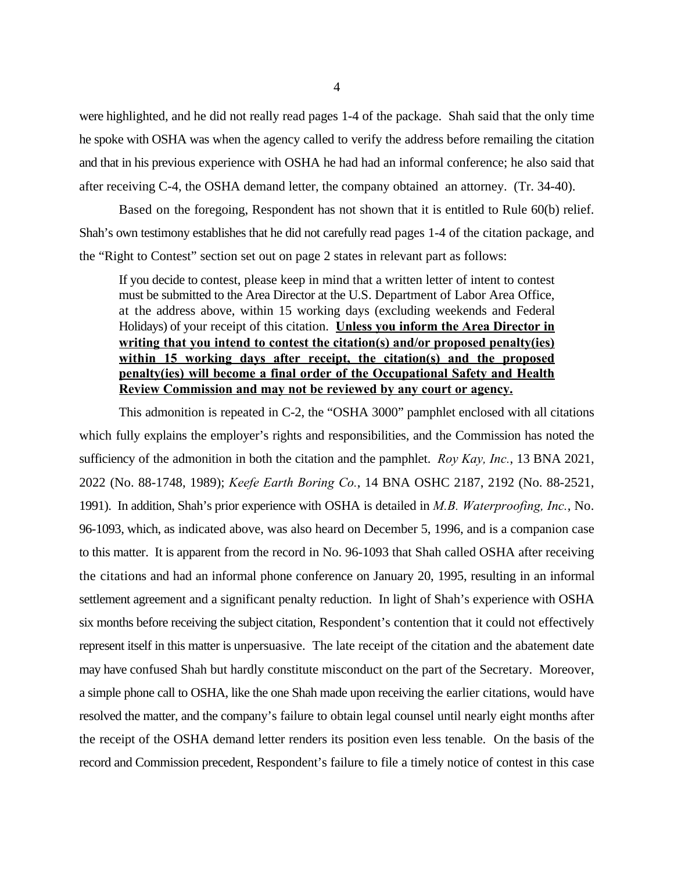were highlighted, and he did not really read pages 1-4 of the package. Shah said that the only time he spoke with OSHA was when the agency called to verify the address before remailing the citation and that in his previous experience with OSHA he had had an informal conference; he also said that after receiving C-4, the OSHA demand letter, the company obtained an attorney. (Tr. 34-40).

Based on the foregoing, Respondent has not shown that it is entitled to Rule 60(b) relief. Shah's own testimony establishes that he did not carefully read pages 1-4 of the citation package, and the "Right to Contest" section set out on page 2 states in relevant part as follows:

If you decide to contest, please keep in mind that a written letter of intent to contest must be submitted to the Area Director at the U.S. Department of Labor Area Office, at the address above, within 15 working days (excluding weekends and Federal Holidays) of your receipt of this citation. **Unless you inform the Area Director in writing that you intend to contest the citation(s) and/or proposed penalty(ies) within 15 working days after receipt, the citation(s) and the proposed penalty(ies) will become a final order of the Occupational Safety and Health Review Commission and may not be reviewed by any court or agency.**

This admonition is repeated in C-2, the "OSHA 3000" pamphlet enclosed with all citations which fully explains the employer's rights and responsibilities, and the Commission has noted the sufficiency of the admonition in both the citation and the pamphlet. *Roy Kay, Inc.*, 13 BNA 2021, 2022 (No. 88-1748, 1989); *Keefe Earth Boring Co.*, 14 BNA OSHC 2187, 2192 (No. 88-2521, 1991). In addition, Shah's prior experience with OSHA is detailed in *M.B. Waterproofing, Inc.*, No. 96-1093, which, as indicated above, was also heard on December 5, 1996, and is a companion case to this matter. It is apparent from the record in No. 96-1093 that Shah called OSHA after receiving the citations and had an informal phone conference on January 20, 1995, resulting in an informal settlement agreement and a significant penalty reduction. In light of Shah's experience with OSHA six months before receiving the subject citation, Respondent's contention that it could not effectively represent itself in this matter is unpersuasive. The late receipt of the citation and the abatement date may have confused Shah but hardly constitute misconduct on the part of the Secretary. Moreover, a simple phone call to OSHA, like the one Shah made upon receiving the earlier citations, would have resolved the matter, and the company's failure to obtain legal counsel until nearly eight months after the receipt of the OSHA demand letter renders its position even less tenable. On the basis of the record and Commission precedent, Respondent's failure to file a timely notice of contest in this case